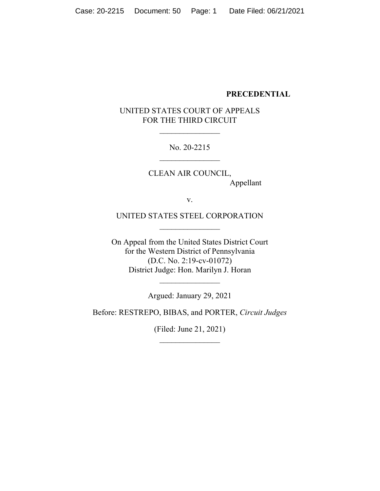#### **PRECEDENTIAL**

# UNITED STATES COURT OF APPEALS FOR THE THIRD CIRCUIT

 $\frac{1}{2}$ 

No. 20-2215  $\overline{\phantom{a}}$  , where  $\overline{\phantom{a}}$ 

CLEAN AIR COUNCIL, Appellant

v.

UNITED STATES STEEL CORPORATION  $\overline{\phantom{a}}$  , where  $\overline{\phantom{a}}$ 

On Appeal from the United States District Court for the Western District of Pennsylvania (D.C. No. 2:19-cv-01072) District Judge: Hon. Marilyn J. Horan

Argued: January 29, 2021

 $\frac{1}{2}$ 

Before: RESTREPO, BIBAS, and PORTER, *Circuit Judges*

(Filed: June 21, 2021)  $\overline{\phantom{a}}$  , where  $\overline{\phantom{a}}$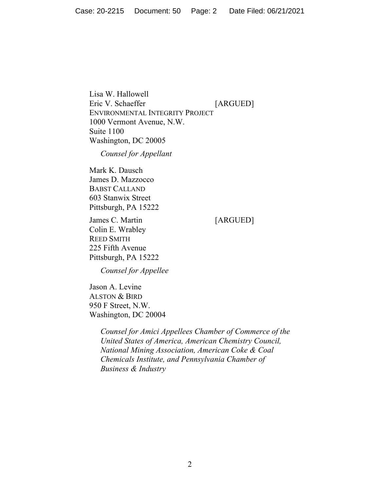Lisa W. Hallowell Eric V. Schaeffer [ARGUED] ENVIRONMENTAL INTEGRITY PROJECT 1000 Vermont Avenue, N.W. Suite 1100 Washington, DC 20005

*Counsel for Appellant*

Mark K. Dausch James D. Mazzocco BABST CALLAND 603 Stanwix Street Pittsburgh, PA 15222

James C. Martin [ARGUED] Colin E. Wrabley REED SMITH 225 Fifth Avenue Pittsburgh, PA 15222

*Counsel for Appellee*

Jason A. Levine ALSTON & BIRD 950 F Street, N.W. Washington, DC 20004

> *Counsel for Amici Appellees Chamber of Commerce of the United States of America, American Chemistry Council, National Mining Association, American Coke & Coal Chemicals Institute, and Pennsylvania Chamber of Business & Industry*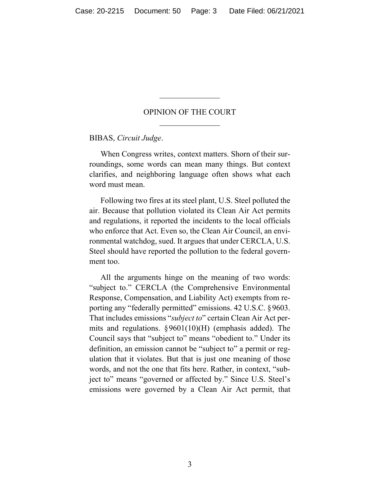## OPINION OF THE COURT  $\frac{1}{2}$

 $\overline{\phantom{a}}$  , where  $\overline{\phantom{a}}$ 

BIBAS, *Circuit Judge*.

When Congress writes, context matters. Shorn of their surroundings, some words can mean many things. But context clarifies, and neighboring language often shows what each word must mean.

Following two fires at its steel plant, U.S. Steel polluted the air. Because that pollution violated its Clean Air Act permits and regulations, it reported the incidents to the local officials who enforce that Act. Even so, the Clean Air Council, an environmental watchdog, sued. It argues that under CERCLA, U.S. Steel should have reported the pollution to the federal government too.

All the arguments hinge on the meaning of two words: "subject to." CERCLA (the Comprehensive Environmental Response, Compensation, and Liability Act) exempts from reporting any "federally permitted" emissions. 42 U.S.C. §9603. That includes emissions "*subject to*" certain Clean Air Act permits and regulations. §9601(10)(H) (emphasis added). The Council says that "subject to" means "obedient to." Under its definition, an emission cannot be "subject to" a permit or regulation that it violates. But that is just one meaning of those words, and not the one that fits here. Rather, in context, "subject to" means "governed or affected by." Since U.S. Steel's emissions were governed by a Clean Air Act permit, that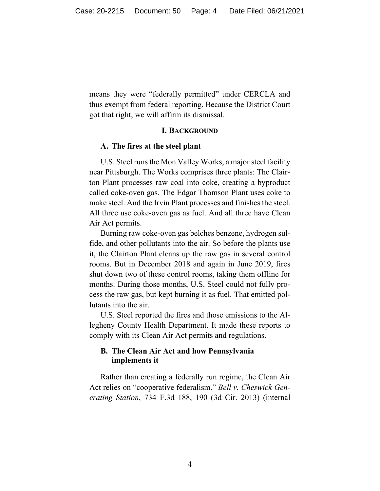means they were "federally permitted" under CERCLA and thus exempt from federal reporting. Because the District Court got that right, we will affirm its dismissal.

#### **I. BACKGROUND**

#### **A. The fires at the steel plant**

U.S. Steel runs the Mon Valley Works, a major steel facility near Pittsburgh. The Works comprises three plants: The Clairton Plant processes raw coal into coke, creating a byproduct called coke-oven gas. The Edgar Thomson Plant uses coke to make steel. And the Irvin Plant processes and finishes the steel. All three use coke-oven gas as fuel. And all three have Clean Air Act permits.

Burning raw coke-oven gas belches benzene, hydrogen sulfide, and other pollutants into the air. So before the plants use it, the Clairton Plant cleans up the raw gas in several control rooms. But in December 2018 and again in June 2019, fires shut down two of these control rooms, taking them offline for months. During those months, U.S. Steel could not fully process the raw gas, but kept burning it as fuel. That emitted pollutants into the air.

U.S. Steel reported the fires and those emissions to the Allegheny County Health Department. It made these reports to comply with its Clean Air Act permits and regulations.

#### **B. The Clean Air Act and how Pennsylvania implements it**

Rather than creating a federally run regime, the Clean Air Act relies on "cooperative federalism." *Bell v. Cheswick Generating Station*, 734 F.3d 188, 190 (3d Cir. 2013) (internal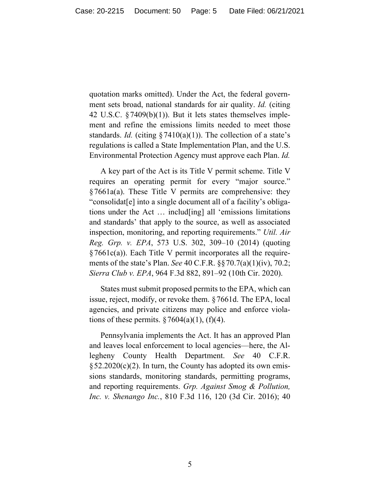quotation marks omitted). Under the Act, the federal government sets broad, national standards for air quality. *Id.* (citing 42 U.S.C. §7409(b)(1)). But it lets states themselves implement and refine the emissions limits needed to meet those standards. *Id.* (citing  $\S 7410(a)(1)$ ). The collection of a state's regulations is called a State Implementation Plan, and the U.S. Environmental Protection Agency must approve each Plan. *Id.*

A key part of the Act is its Title V permit scheme. Title V requires an operating permit for every "major source." §7661a(a). These Title V permits are comprehensive: they "consolidat[e] into a single document all of a facility's obligations under the Act … includ[ing] all 'emissions limitations and standards' that apply to the source, as well as associated inspection, monitoring, and reporting requirements." *Util. Air Reg. Grp. v. EPA*, 573 U.S. 302, 309–10 (2014) (quoting §7661c(a)). Each Title V permit incorporates all the requirements of the state's Plan. *See* 40 C.F.R. §§70.7(a)(1)(iv), 70.2; *Sierra Club v. EPA*, 964 F.3d 882, 891–92 (10th Cir. 2020).

States must submit proposed permits to the EPA, which can issue, reject, modify, or revoke them. §7661d. The EPA, local agencies, and private citizens may police and enforce violations of these permits.  $\S 7604(a)(1)$ , (f)(4).

Pennsylvania implements the Act. It has an approved Plan and leaves local enforcement to local agencies—here, the Allegheny County Health Department. *See* 40 C.F.R.  $\S 52.2020(c)(2)$ . In turn, the County has adopted its own emissions standards, monitoring standards, permitting programs, and reporting requirements. *Grp. Against Smog & Pollution, Inc. v. Shenango Inc.*, 810 F.3d 116, 120 (3d Cir. 2016); 40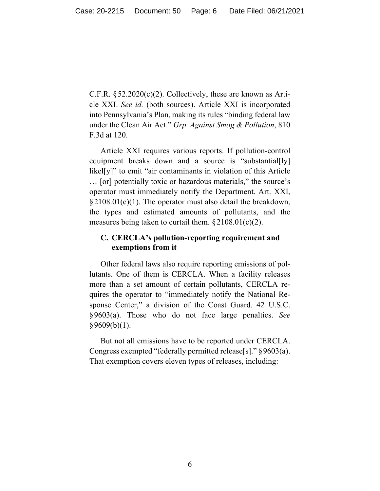C.F.R.  $\S 52.2020(c)(2)$ . Collectively, these are known as Article XXI. *See id.* (both sources). Article XXI is incorporated into Pennsylvania's Plan, making its rules "binding federal law under the Clean Air Act." *Grp. Against Smog & Pollution*, 810 F.3d at 120.

Article XXI requires various reports. If pollution-control equipment breaks down and a source is "substantial[ly] likel[y]" to emit "air contaminants in violation of this Article … [or] potentially toxic or hazardous materials," the source's operator must immediately notify the Department. Art. XXI, §2108.01(c)(1). The operator must also detail the breakdown, the types and estimated amounts of pollutants, and the measures being taken to curtail them.  $\S 2108.01(c)(2)$ .

# **C. CERCLA's pollution-reporting requirement and exemptions from it**

Other federal laws also require reporting emissions of pollutants. One of them is CERCLA. When a facility releases more than a set amount of certain pollutants, CERCLA requires the operator to "immediately notify the National Response Center," a division of the Coast Guard. 42 U.S.C. §9603(a). Those who do not face large penalties. *See*  $§9609(b)(1).$ 

But not all emissions have to be reported under CERCLA. Congress exempted "federally permitted release[s]." §9603(a). That exemption covers eleven types of releases, including: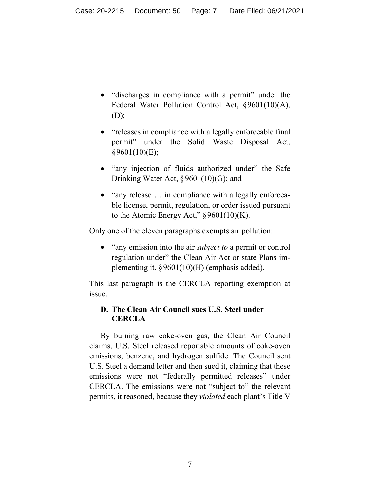- "discharges in compliance with a permit" under the Federal Water Pollution Control Act, §9601(10)(A), (D);
- "releases in compliance with a legally enforceable final permit" under the Solid Waste Disposal Act, §9601(10)(E);
- "any injection of fluids authorized under" the Safe Drinking Water Act, §9601(10)(G); and
- "any release ... in compliance with a legally enforceable license, permit, regulation, or order issued pursuant to the Atomic Energy Act,"  $\S 9601(10)(K)$ .

Only one of the eleven paragraphs exempts air pollution:

• "any emission into the air *subject to* a permit or control regulation under" the Clean Air Act or state Plans implementing it.  $\S 9601(10)$ (H) (emphasis added).

This last paragraph is the CERCLA reporting exemption at issue.

# **D. The Clean Air Council sues U.S. Steel under CERCLA**

By burning raw coke-oven gas, the Clean Air Council claims, U.S. Steel released reportable amounts of coke-oven emissions, benzene, and hydrogen sulfide. The Council sent U.S. Steel a demand letter and then sued it, claiming that these emissions were not "federally permitted releases" under CERCLA. The emissions were not "subject to" the relevant permits, it reasoned, because they *violated* each plant's Title V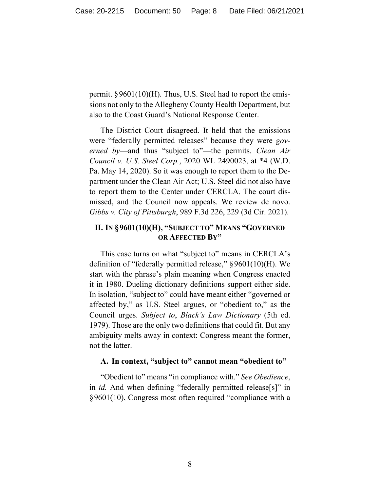permit. §9601(10)(H). Thus, U.S. Steel had to report the emissions not only to the Allegheny County Health Department, but also to the Coast Guard's National Response Center.

The District Court disagreed. It held that the emissions were "federally permitted releases" because they were *governed by*—and thus "subject to"—the permits. *Clean Air Council v. U.S. Steel Corp.*, 2020 WL 2490023, at \*4 (W.D. Pa. May 14, 2020). So it was enough to report them to the Department under the Clean Air Act; U.S. Steel did not also have to report them to the Center under CERCLA. The court dismissed, and the Council now appeals. We review de novo. *Gibbs v. City of Pittsburgh*, 989 F.3d 226, 229 (3d Cir. 2021).

# **II. IN §9601(10)(H), "SUBJECT TO" MEANS "GOVERNED OR AFFECTED BY"**

This case turns on what "subject to" means in CERCLA's definition of "federally permitted release," §9601(10)(H). We start with the phrase's plain meaning when Congress enacted it in 1980. Dueling dictionary definitions support either side. In isolation, "subject to" could have meant either "governed or affected by," as U.S. Steel argues, or "obedient to," as the Council urges. *Subject to*, *Black's Law Dictionary* (5th ed. 1979). Those are the only two definitions that could fit. But any ambiguity melts away in context: Congress meant the former, not the latter.

#### **A. In context, "subject to" cannot mean "obedient to"**

"Obedient to" means "in compliance with." *See Obedience*, in *id.* And when defining "federally permitted release[s]" in §9601(10), Congress most often required "compliance with a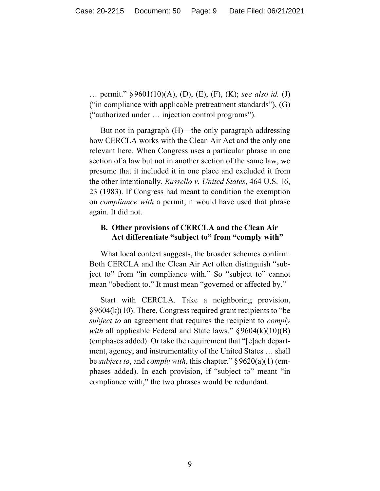… permit." §9601(10)(A), (D), (E), (F), (K); *see also id.* (J) ("in compliance with applicable pretreatment standards"), (G) ("authorized under … injection control programs").

But not in paragraph (H)—the only paragraph addressing how CERCLA works with the Clean Air Act and the only one relevant here. When Congress uses a particular phrase in one section of a law but not in another section of the same law, we presume that it included it in one place and excluded it from the other intentionally. *Russello v. United States*, 464 U.S. 16, 23 (1983). If Congress had meant to condition the exemption on *compliance with* a permit, it would have used that phrase again. It did not.

# **B. Other provisions of CERCLA and the Clean Air Act differentiate "subject to" from "comply with"**

What local context suggests, the broader schemes confirm: Both CERCLA and the Clean Air Act often distinguish "subject to" from "in compliance with." So "subject to" cannot mean "obedient to." It must mean "governed or affected by."

Start with CERCLA. Take a neighboring provision,  $§9604(k)(10)$ . There, Congress required grant recipients to "be" *subject to* an agreement that requires the recipient to *comply with* all applicable Federal and State laws." §9604(k)(10)(B) (emphases added). Or take the requirement that "[e]ach department, agency, and instrumentality of the United States … shall be *subject to*, and *comply with*, this chapter." §9620(a)(1) (emphases added). In each provision, if "subject to" meant "in compliance with," the two phrases would be redundant.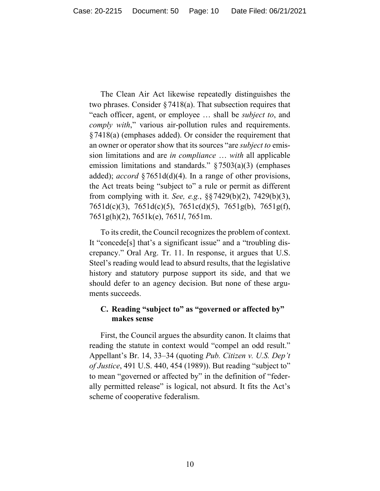The Clean Air Act likewise repeatedly distinguishes the two phrases. Consider  $\S 7418(a)$ . That subsection requires that "each officer, agent, or employee … shall be *subject to*, and *comply with*," various air-pollution rules and requirements. §7418(a) (emphases added). Or consider the requirement that an owner or operator show that its sources "are *subject to* emission limitations and are *in compliance* … *with* all applicable emission limitations and standards."  $\S 7503(a)(3)$  (emphases added); *accord* §7651d(d)(4). In a range of other provisions, the Act treats being "subject to" a rule or permit as different from complying with it. *See, e.g.*, §§7429(b)(2), 7429(b)(3), 7651d(c)(3), 7651d(c)(5), 7651c(d)(5), 7651g(b), 7651g(f), 7651g(h)(2), 7651k(e), 7651*l*, 7651m.

To its credit, the Council recognizes the problem of context. It "concede[s] that's a significant issue" and a "troubling discrepancy." Oral Arg. Tr. 11. In response, it argues that U.S. Steel's reading would lead to absurd results, that the legislative history and statutory purpose support its side, and that we should defer to an agency decision. But none of these arguments succeeds.

# **C. Reading "subject to" as "governed or affected by" makes sense**

First, the Council argues the absurdity canon. It claims that reading the statute in context would "compel an odd result." Appellant's Br. 14, 33–34 (quoting *Pub. Citizen v. U.S. Dep't of Justice*, 491 U.S. 440, 454 (1989)). But reading "subject to" to mean "governed or affected by" in the definition of "federally permitted release" is logical, not absurd. It fits the Act's scheme of cooperative federalism.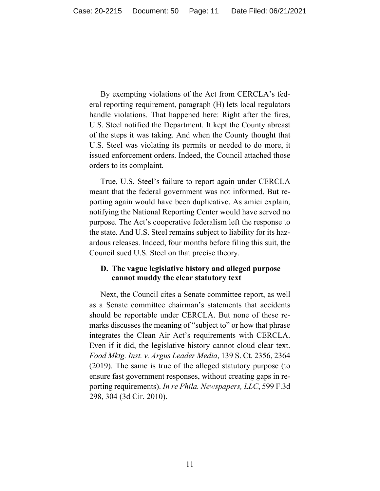By exempting violations of the Act from CERCLA's federal reporting requirement, paragraph (H) lets local regulators handle violations. That happened here: Right after the fires, U.S. Steel notified the Department. It kept the County abreast of the steps it was taking. And when the County thought that U.S. Steel was violating its permits or needed to do more, it issued enforcement orders. Indeed, the Council attached those orders to its complaint.

True, U.S. Steel's failure to report again under CERCLA meant that the federal government was not informed. But reporting again would have been duplicative. As amici explain, notifying the National Reporting Center would have served no purpose. The Act's cooperative federalism left the response to the state. And U.S. Steel remains subject to liability for its hazardous releases. Indeed, four months before filing this suit, the Council sued U.S. Steel on that precise theory.

# **D. The vague legislative history and alleged purpose cannot muddy the clear statutory text**

Next, the Council cites a Senate committee report, as well as a Senate committee chairman's statements that accidents should be reportable under CERCLA. But none of these remarks discusses the meaning of "subject to" or how that phrase integrates the Clean Air Act's requirements with CERCLA. Even if it did, the legislative history cannot cloud clear text. *Food Mktg. Inst. v. Argus Leader Media*, 139 S. Ct. 2356, 2364 (2019). The same is true of the alleged statutory purpose (to ensure fast government responses, without creating gaps in reporting requirements). *In re Phila. Newspapers, LLC*, 599 F.3d 298, 304 (3d Cir. 2010).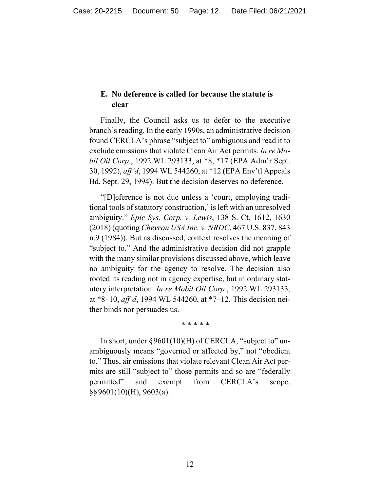# **E. No deference is called for because the statute is clear**

Finally, the Council asks us to defer to the executive branch's reading. In the early 1990s, an administrative decision found CERCLA's phrase "subject to" ambiguous and read it to exclude emissions that violate Clean Air Act permits. *In re Mobil Oil Corp.*, 1992 WL 293133, at \*8, \*17 (EPA Adm'r Sept. 30, 1992), *aff'd*, 1994 WL 544260, at \*12 (EPA Env'tl Appeals Bd. Sept. 29, 1994). But the decision deserves no deference.

"[D]eference is not due unless a 'court, employing traditional tools of statutory construction,' is left with an unresolved ambiguity." *Epic Sys. Corp. v. Lewis*, 138 S. Ct. 1612, 1630 (2018) (quoting *Chevron USA Inc. v. NRDC*, 467 U.S. 837, 843 n.9 (1984)). But as discussed, context resolves the meaning of "subject to." And the administrative decision did not grapple with the many similar provisions discussed above, which leave no ambiguity for the agency to resolve. The decision also rooted its reading not in agency expertise, but in ordinary statutory interpretation. *In re Mobil Oil Corp.*, 1992 WL 293133, at \*8–10, *aff'd*, 1994 WL 544260, at \*7–12. This decision neither binds nor persuades us.

#### \* \* \* \* \*

In short, under  $\S 9601(10)$ (H) of CERCLA, "subject to" unambiguously means "governed or affected by," not "obedient to." Thus, air emissions that violate relevant Clean Air Act permits are still "subject to" those permits and so are "federally permitted" and exempt from CERCLA's scope. §§9601(10)(H), 9603(a).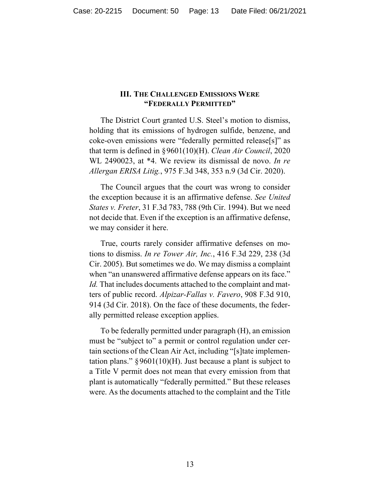#### **III. THE CHALLENGED EMISSIONS WERE "FEDERALLY PERMITTED"**

The District Court granted U.S. Steel's motion to dismiss, holding that its emissions of hydrogen sulfide, benzene, and coke-oven emissions were "federally permitted release[s]" as that term is defined in §9601(10)(H). *Clean Air Council*, 2020 WL 2490023, at \*4. We review its dismissal de novo. *In re Allergan ERISA Litig.*, 975 F.3d 348, 353 n.9 (3d Cir. 2020).

The Council argues that the court was wrong to consider the exception because it is an affirmative defense. *See United States v. Freter*, 31 F.3d 783, 788 (9th Cir. 1994). But we need not decide that. Even if the exception is an affirmative defense, we may consider it here.

True, courts rarely consider affirmative defenses on motions to dismiss. *In re Tower Air, Inc.*, 416 F.3d 229, 238 (3d Cir. 2005). But sometimes we do. We may dismiss a complaint when "an unanswered affirmative defense appears on its face." *Id.* That includes documents attached to the complaint and matters of public record. *Alpizar-Fallas v. Favero*, 908 F.3d 910, 914 (3d Cir. 2018). On the face of these documents, the federally permitted release exception applies.

To be federally permitted under paragraph (H), an emission must be "subject to" a permit or control regulation under certain sections of the Clean Air Act, including "[s]tate implementation plans."  $\S 9601(10)(H)$ . Just because a plant is subject to a Title V permit does not mean that every emission from that plant is automatically "federally permitted." But these releases were. As the documents attached to the complaint and the Title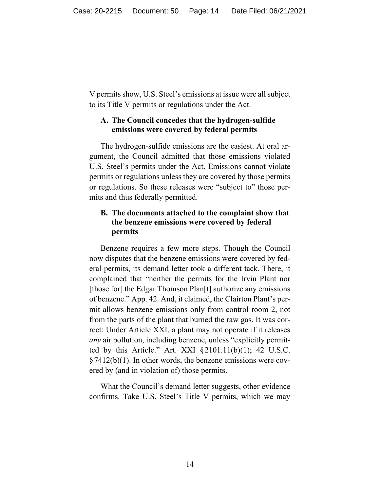V permits show, U.S. Steel's emissions at issue were all subject to its Title V permits or regulations under the Act.

# **A. The Council concedes that the hydrogen-sulfide emissions were covered by federal permits**

The hydrogen-sulfide emissions are the easiest. At oral argument, the Council admitted that those emissions violated U.S. Steel's permits under the Act. Emissions cannot violate permits or regulations unless they are covered by those permits or regulations. So these releases were "subject to" those permits and thus federally permitted.

# **B. The documents attached to the complaint show that the benzene emissions were covered by federal permits**

Benzene requires a few more steps. Though the Council now disputes that the benzene emissions were covered by federal permits, its demand letter took a different tack. There, it complained that "neither the permits for the Irvin Plant nor [those for] the Edgar Thomson Plan<sup>[t]</sup> authorize any emissions of benzene." App. 42. And, it claimed, the Clairton Plant's permit allows benzene emissions only from control room 2, not from the parts of the plant that burned the raw gas. It was correct: Under Article XXI, a plant may not operate if it releases *any* air pollution, including benzene, unless "explicitly permitted by this Article." Art. XXI  $\S 2101.11(b)(1)$ ; 42 U.S.C.  $§7412(b)(1)$ . In other words, the benzene emissions were covered by (and in violation of) those permits.

What the Council's demand letter suggests, other evidence confirms. Take U.S. Steel's Title V permits, which we may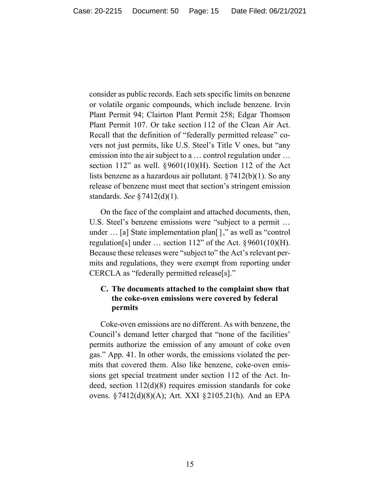consider as public records. Each sets specific limits on benzene or volatile organic compounds, which include benzene. Irvin Plant Permit 94; Clairton Plant Permit 258; Edgar Thomson Plant Permit 107. Or take section 112 of the Clean Air Act. Recall that the definition of "federally permitted release" covers not just permits, like U.S. Steel's Title V ones, but "any emission into the air subject to a … control regulation under … section 112" as well.  $\S 9601(10)$ (H). Section 112 of the Act lists benzene as a hazardous air pollutant. §7412(b)(1). So any release of benzene must meet that section's stringent emission standards. *See* §7412(d)(1).

On the face of the complaint and attached documents, then, U.S. Steel's benzene emissions were "subject to a permit … under … [a] State implementation plan[]," as well as "control regulation[s] under ... section 112" of the Act.  $\S 9601(10)(H)$ . Because these releases were "subject to" the Act's relevant permits and regulations, they were exempt from reporting under CERCLA as "federally permitted release[s]."

# **C. The documents attached to the complaint show that the coke-oven emissions were covered by federal permits**

Coke-oven emissions are no different. As with benzene, the Council's demand letter charged that "none of the facilities' permits authorize the emission of any amount of coke oven gas." App. 41. In other words, the emissions violated the permits that covered them. Also like benzene, coke-oven emissions get special treatment under section 112 of the Act. Indeed, section 112(d)(8) requires emission standards for coke ovens. §7412(d)(8)(A); Art. XXI §2105.21(h). And an EPA